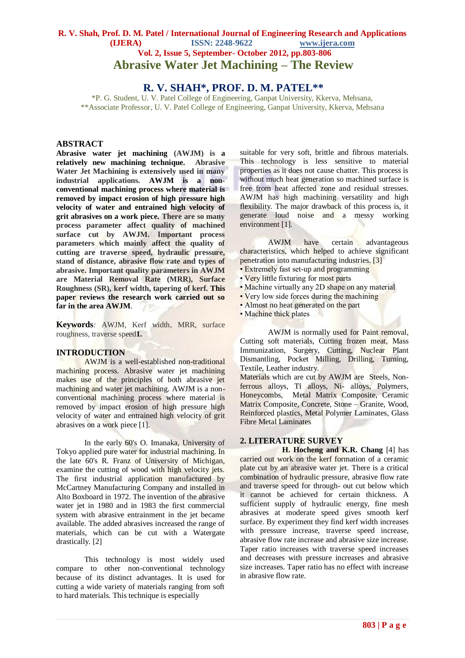## **R. V. Shah, Prof. D. M. Patel / International Journal of Engineering Research and Applications (IJERA) ISSN: 2248-9622 www.ijera.com Vol. 2, Issue 5, September- October 2012, pp.803-806 Abrasive Water Jet Machining – The Review**

# **R. V. SHAH\*, PROF. D. M. PATEL\*\***

\*P. G. Student, U. V. Patel College of Engineering, Ganpat University, Kkerva, Mehsana, \*\*Associate Professor, U. V. Patel College of Engineering, Ganpat University, Kkerva, Mehsana

### **ABSTRACT**

**Abrasive water jet machining (AWJM) is a relatively new machining technique. Abrasive Water Jet Machining is extensively used in many industrial applications. AWJM is a nonconventional machining process where material is removed by impact erosion of high pressure high velocity of water and entrained high velocity of grit abrasives on a work piece. There are so many process parameter affect quality of machined surface cut by AWJM. Important process parameters which mainly affect the quality of cutting are traverse speed, hydraulic pressure, stand of distance, abrasive flow rate and types of abrasive. Important quality parameters in AWJM are Material Removal Rate (MRR), Surface Roughness (SR), kerf width, tapering of kerf. This paper reviews the research work carried out so far in the area AWJM**.

**Keywords***:* AWJM, Kerf width, MRR, surface roughness, traverse speed**1.**

### **INTRODUCTION**

AWJM is a well-established non-traditional machining process. Abrasive water jet machining makes use of the principles of both abrasive jet machining and water jet machining. AWJM is a nonconventional machining process where material is removed by impact erosion of high pressure high velocity of water and entrained high velocity of grit abrasives on a work piece [1].

In the early 60's O. Imanaka, University of Tokyo applied pure water for industrial machining. In the late 60's R. Franz of University of Michigan, examine the cutting of wood with high velocity jets. The first industrial application manufactured by McCartney Manufacturing Company and installed in Alto Boxboard in 1972. The invention of the abrasive water jet in 1980 and in 1983 the first commercial system with abrasive entrainment in the jet became available. The added abrasives increased the range of materials, which can be cut with a Watergate drastically. [2]

This technology is most widely used compare to other non-conventional technology because of its distinct advantages. It is used for cutting a wide variety of materials ranging from soft to hard materials. This technique is especially

suitable for very soft, brittle and fibrous materials. This technology is less sensitive to material properties as it does not cause chatter. This process is without much heat generation so machined surface is free from heat affected zone and residual stresses. AWJM has high machining versatility and high flexibility. The major drawback of this process is, it generate loud noise and a messy working environment [1].

AWJM have certain advantageous characteristics, which helped to achieve significant penetration into manufacturing industries. [3] • Extremely fast set-up and programming

- Very little fixturing for most parts
- Machine virtually any 2D shape on any material
- Very low side forces during the machining
- Almost no heat generated on the part
- Machine thick plates

AWJM is normally used for Paint removal, Cutting soft materials, Cutting frozen meat, Mass Immunization, Surgery, Cutting, Nuclear Plant Dismantling, Pocket Milling, Drilling, Turning, Textile, Leather industry.

Materials which are cut by AWJM are Steels, Nonferrous alloys, Ti alloys, Ni- alloys, Polymers, Honeycombs, Metal Matrix Composite, Ceramic Matrix Composite, Concrete, Stone – Granite, Wood, Reinforced plastics, Metal Polymer Laminates, Glass Fibre Metal Laminates

### **2. LITERATURE SURVEY**

**H. Hocheng and K.R. Chang** [4] has carried out work on the kerf formation of a ceramic plate cut by an abrasive water jet. There is a critical combination of hydraulic pressure, abrasive flow rate and traverse speed for through- out cut below which it cannot be achieved for certain thickness. A sufficient supply of hydraulic energy, fine mesh abrasives at moderate speed gives smooth kerf surface. By experiment they find kerf width increases with pressure increase, traverse speed increase, abrasive flow rate increase and abrasive size increase. Taper ratio increases with traverse speed increases and decreases with pressure increases and abrasive size increases. Taper ratio has no effect with increase in abrasive flow rate.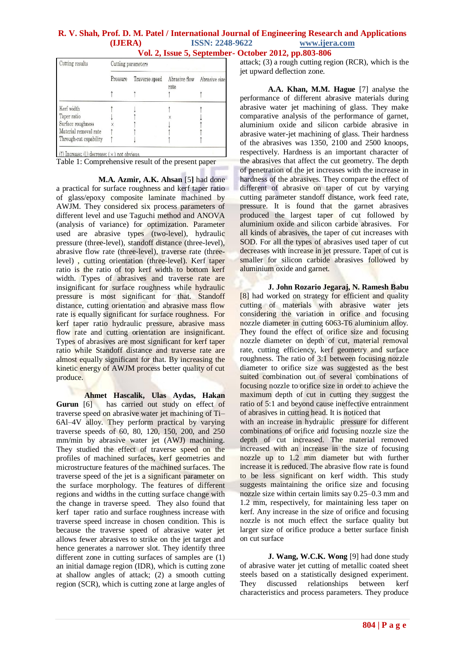# **R. V. Shah, Prof. D. M. Patel / International Journal of Engineering Research and Applications (IJERA) ISSN: 2248-9622 www.ijera.com**

 **Vol. 2, Issue 5, September- October 2012, pp.803-806**

| Cutting results        | Cutting parameters |                |                       |               |            |
|------------------------|--------------------|----------------|-----------------------|---------------|------------|
|                        | Pressure           | Traverse speed | Abrasive flow<br>rate | Abrasive size |            |
|                        |                    |                |                       |               | Kerf width |
| Taper ratio            |                    |                |                       |               |            |
| Surface roughness      |                    |                |                       |               |            |
| Material removal rate  |                    |                |                       |               |            |
| Through-cut capability |                    |                |                       |               |            |

(†) Increase; ( $\downarrow$ ) decrease; ( $\times$ ) not obvious.

Table 1: Comprehensive result of the present paper

**M.A. Azmir, A.K. Ahsan** [5**]** had done a practical for surface roughness and kerf taper ratio of glass/epoxy composite laminate machined by AWJM. They considered six process parameters of different level and use Taguchi method and ANOVA (analysis of variance) for optimization. Parameter used are abrasive types (two-level), hydraulic pressure (three-level), standoff distance (three-level), abrasive flow rate (three-level), traverse rate (threelevel) , cutting orientation (three-level). Kerf taper ratio is the ratio of top kerf width to bottom kerf width. Types of abrasives and traverse rate are insignificant for surface roughness while hydraulic pressure is most significant for that. Standoff distance, cutting orientation and abrasive mass flow rate is equally significant for surface roughness. For kerf taper ratio hydraulic pressure, abrasive mass flow rate and cutting orientation are insignificant. Types of abrasives are most significant for kerf taper ratio while Standoff distance and traverse rate are almost equally significant for that. By increasing the kinetic energy of AWJM process better quality of cut produce.

**Ahmet Hascalik, Ulas Aydas, Hakan**  Gurun [6] has carried out study on effect of traverse speed on abrasive water jet machining of Ti– 6Al–4V alloy. They perform practical by varying traverse speeds of 60, 80, 120, 150, 200, and 250 mm/min by abrasive water jet (AWJ) machining. They studied the effect of traverse speed on the profiles of machined surfaces, kerf geometries and microstructure features of the machined surfaces. The traverse speed of the jet is a significant parameter on the surface morphology. The features of different regions and widths in the cutting surface change with the change in traverse speed. They also found that kerf taper ratio and surface roughness increase with traverse speed increase in chosen condition. This is because the traverse speed of abrasive water jet allows fewer abrasives to strike on the jet target and hence generates a narrower slot. They identify three different zone in cutting surfaces of samples are (1) an initial damage region (IDR), which is cutting zone at shallow angles of attack; (2) a smooth cutting region (SCR), which is cutting zone at large angles of

attack; (3) a rough cutting region (RCR), which is the jet upward deflection zone.

**A.A. Khan, M.M. Hague** [7] analyse the performance of different abrasive materials during abrasive water jet machining of glass. They make comparative analysis of the performance of garnet, aluminium oxide and silicon carbide abrasive in abrasive water-jet machining of glass. Their hardness of the abrasives was 1350, 2100 and 2500 knoops, respectively. Hardness is an important character of the abrasives that affect the cut geometry. The depth of penetration of the jet increases with the increase in hardness of the abrasives. They compare the effect of different of abrasive on taper of cut by varying cutting parameter standoff distance, work feed rate, pressure. It is found that the garnet abrasives produced the largest taper of cut followed by aluminium oxide and silicon carbide abrasives. For all kinds of abrasives, the taper of cut increases with SOD. For all the types of abrasives used taper of cut decreases with increase in jet pressure. Taper of cut is smaller for silicon carbide abrasives followed by aluminium oxide and garnet.

**J. John Rozario Jegaraj, N. Ramesh Babu**  [8] had worked on strategy for efficient and quality cutting of materials with abrasive water jets considering the variation in orifice and focusing nozzle diameter in cutting 6063-T6 aluminium alloy. They found the effect of orifice size and focusing nozzle diameter on depth of cut, material removal rate, cutting efficiency, kerf geometry and surface roughness. The ratio of 3:1 between focusing nozzle diameter to orifice size was suggested as the best suited combination out of several combinations of focusing nozzle to orifice size in order to achieve the maximum depth of cut in cutting they suggest the ratio of 5:1 and beyond cause ineffective entrainment of abrasives in cutting head. It is noticed that with an increase in hydraulic pressure for different combinations of orifice and focusing nozzle size the

depth of cut increased. The material removed increased with an increase in the size of focusing nozzle up to 1.2 mm diameter but with further increase it is reduced. The abrasive flow rate is found to be less significant on kerf width. This study suggests maintaining the orifice size and focusing nozzle size within certain limits say 0.25–0.3 mm and 1.2 mm, respectively, for maintaining less taper on kerf. Any increase in the size of orifice and focusing nozzle is not much effect the surface quality but larger size of orifice produce a better surface finish on cut surface

**J. Wang, W.C.K. Wong** [9] had done study of abrasive water jet cutting of metallic coated sheet steels based on a statistically designed experiment. They discussed relationships between kerf characteristics and process parameters. They produce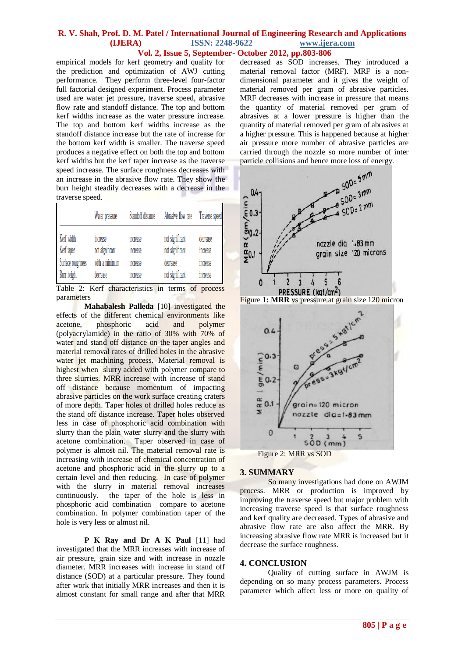# **R. V. Shah, Prof. D. M. Patel / International Journal of Engineering Research and Applications (IJERA) ISSN: 2248-9622 www.ijera.com**

### **Vol. 2, Issue 5, September- October 2012, pp.803-806**

empirical models for kerf geometry and quality for the prediction and optimization of AWJ cutting performance. They perform three-level four-factor full factorial designed experiment. Process parameter used are water jet pressure, traverse speed, abrasive flow rate and standoff distance. The top and bottom kerf widths increase as the water pressure increase. The top and bottom kerf widths increase as the standoff distance increase but the rate of increase for the bottom kerf width is smaller. The traverse speed produces a negative effect on both the top and bottom kerf widths but the kerf taper increase as the traverse speed increase. The surface roughness decreases with an increase in the abrasive flow rate. They show the burr height steadily decreases with a decrease in the traverse speed.

|                    | Water pressure  | Standoff distance | Abrasive flow rate | Traverse speed |
|--------------------|-----------------|-------------------|--------------------|----------------|
| Kerf width         | increase        | increase          | not significant    | decrease       |
| Kerf taper         | not significant | increase          | not significant    | increase       |
| Surface roughness  | with a minimum  | increase          | decrease           | increase       |
| <b>Burr</b> height | decrease        | increase          | not significant    | increase       |

Table 2: Kerf characteristics in terms of process parameters

**Mahabalesh Palleda** [10] investigated the effects of the different chemical environments like acetone, phosphoric acid and polymer (polyacrylamide) in the ratio of 30% with 70% of water and stand off distance on the taper angles and material removal rates of drilled holes in the abrasive water jet machining process. Material removal is highest when slurry added with polymer compare to three slurries. MRR increase with increase of stand off distance because momentum of impacting abrasive particles on the work surface creating craters of more depth. Taper holes of drilled holes reduce as the stand off distance increase. Taper holes observed less in case of phosphoric acid combination with slurry than the plain water slurry and the slurry with acetone combination. Taper observed in case of polymer is almost nil. The material removal rate is increasing with increase of chemical concentration of acetone and phosphoric acid in the slurry up to a certain level and then reducing. In case of polymer with the slurry in material removal increases continuously. the taper of the hole is less in phosphoric acid combination compare to acetone combination. In polymer combination taper of the hole is very less or almost nil.

**P K Ray and Dr A K Paul** [11] had investigated that the MRR increases with increase of air pressure, grain size and with increase in nozzle diameter. MRR increases with increase in stand off distance (SOD) at a particular pressure. They found after work that initially MRR increases and then it is almost constant for small range and after that MRR

decreased as SOD increases. They introduced a material removal factor (MRF). MRF is a nondimensional parameter and it gives the weight of material removed per gram of abrasive particles. MRF decreases with increase in pressure that means the quantity of material removed per gram of abrasives at a lower pressure is higher than the quantity of material removed per gram of abrasives at a higher pressure. This is happened because at higher air pressure more number of abrasive particles are carried through the nozzle so more number of inter particle collisions and hence more loss of energy.









### **3. SUMMARY**

So many investigations had done on AWJM process. MRR or production is improved by improving the traverse speed but major problem with increasing traverse speed is that surface roughness and kerf quality are decreased. Types of abrasive and abrasive flow rate are also affect the MRR. By increasing abrasive flow rate MRR is increased but it decrease the surface roughness.

#### **4. CONCLUSION**

Quality of cutting surface in AWJM is depending on so many process parameters. Process parameter which affect less or more on quality of